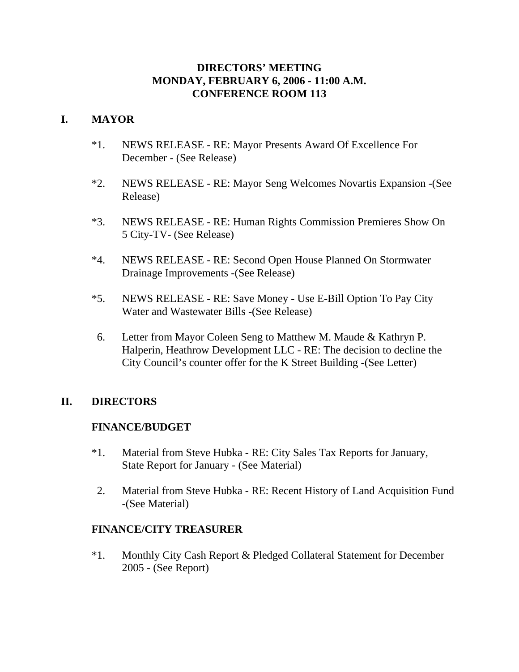### **DIRECTORS' MEETING MONDAY, FEBRUARY 6, 2006 - 11:00 A.M. CONFERENCE ROOM 113**

## **I. MAYOR**

- \*1. NEWS RELEASE RE: Mayor Presents Award Of Excellence For December - (See Release)
- \*2. NEWS RELEASE RE: Mayor Seng Welcomes Novartis Expansion -(See Release)
- \*3. NEWS RELEASE RE: Human Rights Commission Premieres Show On 5 City-TV- (See Release)
- \*4. NEWS RELEASE RE: Second Open House Planned On Stormwater Drainage Improvements -(See Release)
- \*5. NEWS RELEASE RE: Save Money Use E-Bill Option To Pay City Water and Wastewater Bills -(See Release)
- 6. Letter from Mayor Coleen Seng to Matthew M. Maude & Kathryn P. Halperin, Heathrow Development LLC - RE: The decision to decline the City Council's counter offer for the K Street Building -(See Letter)

### **II. DIRECTORS**

### **FINANCE/BUDGET**

- \*1. Material from Steve Hubka RE: City Sales Tax Reports for January, State Report for January - (See Material)
- 2. Material from Steve Hubka RE: Recent History of Land Acquisition Fund -(See Material)

## **FINANCE/CITY TREASURER**

\*1. Monthly City Cash Report & Pledged Collateral Statement for December 2005 - (See Report)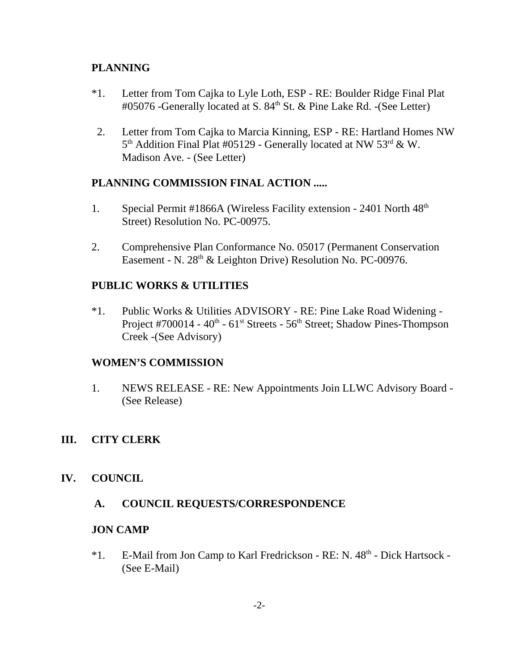## **PLANNING**

- \*1. Letter from Tom Cajka to Lyle Loth, ESP RE: Boulder Ridge Final Plat #05076 -Generally located at S. 84<sup>th</sup> St. & Pine Lake Rd. -(See Letter)
- 2. Letter from Tom Cajka to Marcia Kinning, ESP RE: Hartland Homes NW  $5<sup>th</sup>$  Addition Final Plat #05129 - Generally located at NW  $53<sup>rd</sup>$  & W. Madison Ave. - (See Letter)

## **PLANNING COMMISSION FINAL ACTION .....**

- 1. Special Permit #1866A (Wireless Facility extension 2401 North 48<sup>th</sup> Street) Resolution No. PC-00975.
- 2. Comprehensive Plan Conformance No. 05017 (Permanent Conservation Easement - N. 28<sup>th</sup> & Leighton Drive) Resolution No. PC-00976.

## **PUBLIC WORKS & UTILITIES**

\*1. Public Works & Utilities ADVISORY - RE: Pine Lake Road Widening - Project #700014 -  $40^{\text{th}}$  -  $61^{\text{st}}$  Streets -  $56^{\text{th}}$  Street; Shadow Pines-Thompson Creek -(See Advisory)

## **WOMEN'S COMMISSION**

1. NEWS RELEASE - RE: New Appointments Join LLWC Advisory Board - (See Release)

## **III. CITY CLERK**

### **IV. COUNCIL**

### **A. COUNCIL REQUESTS/CORRESPONDENCE**

### **JON CAMP**

\*1. E-Mail from Jon Camp to Karl Fredrickson - RE: N. 48<sup>th</sup> - Dick Hartsock -(See E-Mail)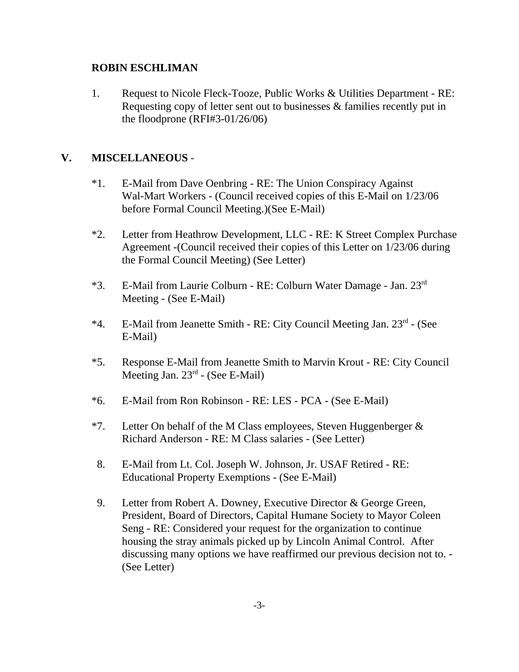### **ROBIN ESCHLIMAN**

1. Request to Nicole Fleck-Tooze, Public Works & Utilities Department - RE: Requesting copy of letter sent out to businesses & families recently put in the floodprone (RFI#3-01/26/06)

## **V. MISCELLANEOUS** -

- \*1. E-Mail from Dave Oenbring RE: The Union Conspiracy Against Wal-Mart Workers - (Council received copies of this E-Mail on 1/23/06 before Formal Council Meeting.)(See E-Mail)
- \*2. Letter from Heathrow Development, LLC RE: K Street Complex Purchase Agreement -(Council received their copies of this Letter on 1/23/06 during the Formal Council Meeting) (See Letter)
- \*3. E-Mail from Laurie Colburn RE: Colburn Water Damage Jan. 23rd Meeting - (See E-Mail)
- \*4. E-Mail from Jeanette Smith RE: City Council Meeting Jan. 23rd (See E-Mail)
- \*5. Response E-Mail from Jeanette Smith to Marvin Krout RE: City Council Meeting Jan. 23rd - (See E-Mail)
- \*6. E-Mail from Ron Robinson RE: LES PCA (See E-Mail)
- \*7. Letter On behalf of the M Class employees, Steven Huggenberger  $\&$ Richard Anderson - RE: M Class salaries - (See Letter)
- 8. E-Mail from Lt. Col. Joseph W. Johnson, Jr. USAF Retired RE: Educational Property Exemptions - (See E-Mail)
- 9. Letter from Robert A. Downey, Executive Director & George Green, President, Board of Directors, Capital Humane Society to Mayor Coleen Seng - RE: Considered your request for the organization to continue housing the stray animals picked up by Lincoln Animal Control. After discussing many options we have reaffirmed our previous decision not to. - (See Letter)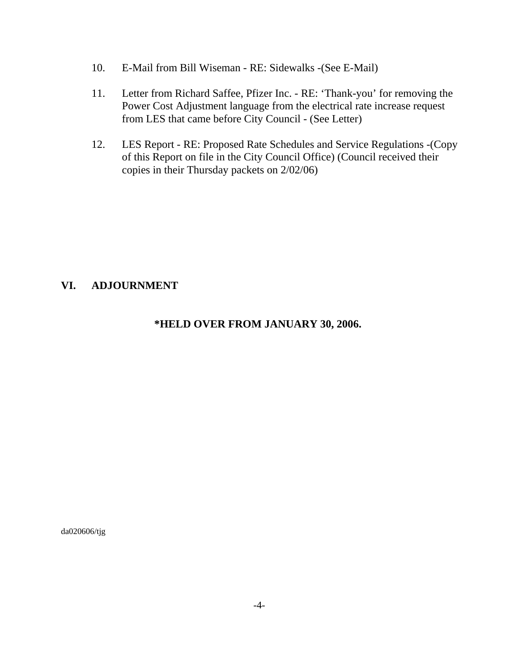- 10. E-Mail from Bill Wiseman RE: Sidewalks -(See E-Mail)
- 11. Letter from Richard Saffee, Pfizer Inc. RE: 'Thank-you' for removing the Power Cost Adjustment language from the electrical rate increase request from LES that came before City Council - (See Letter)
- 12. LES Report RE: Proposed Rate Schedules and Service Regulations -(Copy of this Report on file in the City Council Office) (Council received their copies in their Thursday packets on 2/02/06)

### **VI. ADJOURNMENT**

### **\*HELD OVER FROM JANUARY 30, 2006.**

da020606/tjg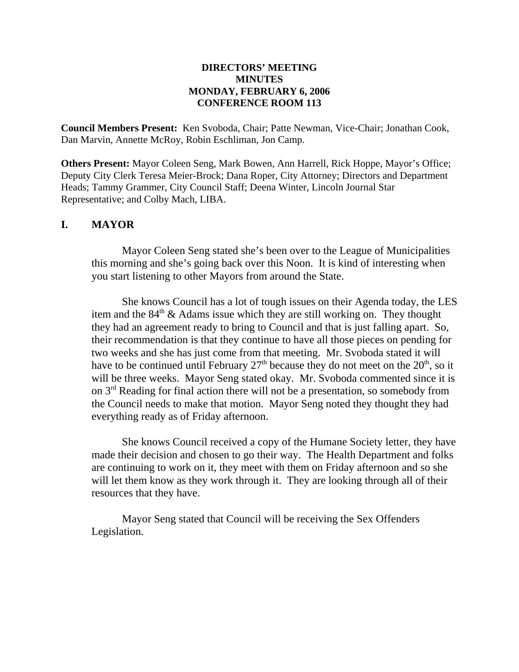#### **DIRECTORS' MEETING MINUTES MONDAY, FEBRUARY 6, 2006 CONFERENCE ROOM 113**

**Council Members Present:** Ken Svoboda, Chair; Patte Newman, Vice-Chair; Jonathan Cook, Dan Marvin, Annette McRoy, Robin Eschliman, Jon Camp.

**Others Present:** Mayor Coleen Seng, Mark Bowen, Ann Harrell, Rick Hoppe, Mayor's Office; Deputy City Clerk Teresa Meier-Brock; Dana Roper, City Attorney; Directors and Department Heads; Tammy Grammer, City Council Staff; Deena Winter, Lincoln Journal Star Representative; and Colby Mach, LIBA.

### **I. MAYOR**

Mayor Coleen Seng stated she's been over to the League of Municipalities this morning and she's going back over this Noon. It is kind of interesting when you start listening to other Mayors from around the State.

She knows Council has a lot of tough issues on their Agenda today, the LES item and the  $84<sup>th</sup>$  & Adams issue which they are still working on. They thought they had an agreement ready to bring to Council and that is just falling apart. So, their recommendation is that they continue to have all those pieces on pending for two weeks and she has just come from that meeting. Mr. Svoboda stated it will have to be continued until February  $27<sup>th</sup>$  because they do not meet on the  $20<sup>th</sup>$ , so it will be three weeks. Mayor Seng stated okay. Mr. Svoboda commented since it is on 3rd Reading for final action there will not be a presentation, so somebody from the Council needs to make that motion. Mayor Seng noted they thought they had everything ready as of Friday afternoon.

She knows Council received a copy of the Humane Society letter, they have made their decision and chosen to go their way. The Health Department and folks are continuing to work on it, they meet with them on Friday afternoon and so she will let them know as they work through it. They are looking through all of their resources that they have.

Mayor Seng stated that Council will be receiving the Sex Offenders Legislation.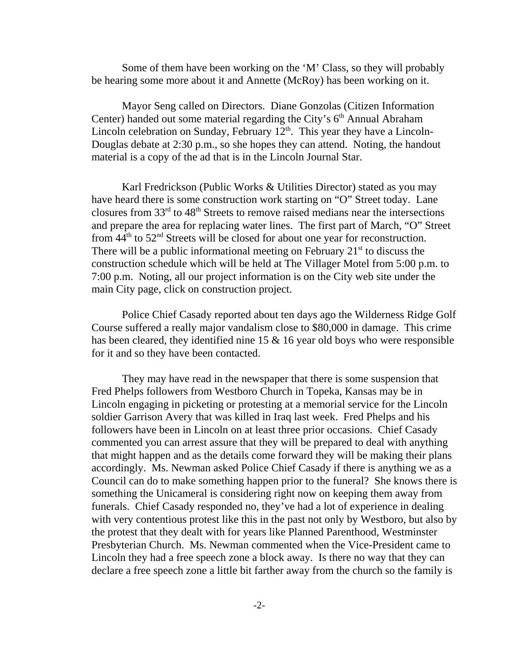Some of them have been working on the 'M' Class, so they will probably be hearing some more about it and Annette (McRoy) has been working on it.

Mayor Seng called on Directors. Diane Gonzolas (Citizen Information Center) handed out some material regarding the City's  $6<sup>th</sup>$  Annual Abraham Lincoln celebration on Sunday, February  $12<sup>th</sup>$ . This year they have a Lincoln-Douglas debate at 2:30 p.m., so she hopes they can attend. Noting, the handout material is a copy of the ad that is in the Lincoln Journal Star.

Karl Fredrickson (Public Works & Utilities Director) stated as you may have heard there is some construction work starting on "O" Street today. Lane closures from  $33<sup>rd</sup>$  to  $48<sup>th</sup>$  Streets to remove raised medians near the intersections and prepare the area for replacing water lines. The first part of March, "O" Street from  $44<sup>th</sup>$  to  $52<sup>nd</sup>$  Streets will be closed for about one year for reconstruction. There will be a public informational meeting on February  $21<sup>st</sup>$  to discuss the construction schedule which will be held at The Villager Motel from 5:00 p.m. to 7:00 p.m. Noting, all our project information is on the City web site under the main City page, click on construction project.

Police Chief Casady reported about ten days ago the Wilderness Ridge Golf Course suffered a really major vandalism close to \$80,000 in damage. This crime has been cleared, they identified nine  $15 \& 16$  year old boys who were responsible for it and so they have been contacted.

They may have read in the newspaper that there is some suspension that Fred Phelps followers from Westboro Church in Topeka, Kansas may be in Lincoln engaging in picketing or protesting at a memorial service for the Lincoln soldier Garrison Avery that was killed in Iraq last week. Fred Phelps and his followers have been in Lincoln on at least three prior occasions. Chief Casady commented you can arrest assure that they will be prepared to deal with anything that might happen and as the details come forward they will be making their plans accordingly. Ms. Newman asked Police Chief Casady if there is anything we as a Council can do to make something happen prior to the funeral? She knows there is something the Unicameral is considering right now on keeping them away from funerals. Chief Casady responded no, they've had a lot of experience in dealing with very contentious protest like this in the past not only by Westboro, but also by the protest that they dealt with for years like Planned Parenthood, Westminster Presbyterian Church. Ms. Newman commented when the Vice-President came to Lincoln they had a free speech zone a block away. Is there no way that they can declare a free speech zone a little bit farther away from the church so the family is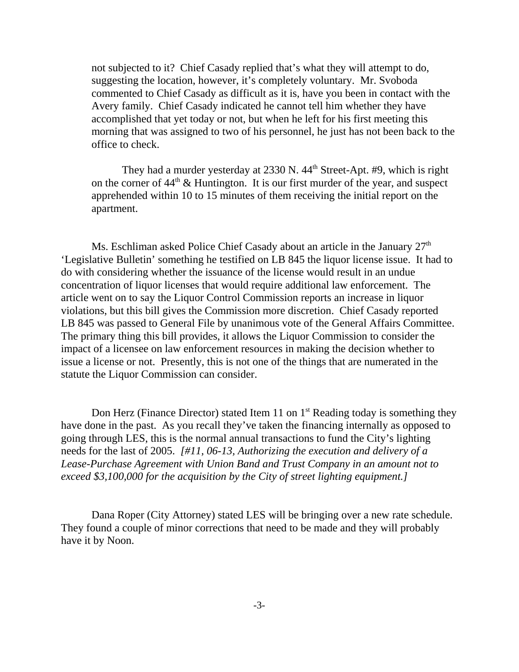not subjected to it? Chief Casady replied that's what they will attempt to do, suggesting the location, however, it's completely voluntary. Mr. Svoboda commented to Chief Casady as difficult as it is, have you been in contact with the Avery family. Chief Casady indicated he cannot tell him whether they have accomplished that yet today or not, but when he left for his first meeting this morning that was assigned to two of his personnel, he just has not been back to the office to check.

They had a murder yesterday at  $2330$  N.  $44<sup>th</sup>$  Street-Apt. #9, which is right on the corner of  $44<sup>th</sup>$  & Huntington. It is our first murder of the year, and suspect apprehended within 10 to 15 minutes of them receiving the initial report on the apartment.

Ms. Eschliman asked Police Chief Casady about an article in the January  $27<sup>th</sup>$ 'Legislative Bulletin' something he testified on LB 845 the liquor license issue. It had to do with considering whether the issuance of the license would result in an undue concentration of liquor licenses that would require additional law enforcement. The article went on to say the Liquor Control Commission reports an increase in liquor violations, but this bill gives the Commission more discretion. Chief Casady reported LB 845 was passed to General File by unanimous vote of the General Affairs Committee. The primary thing this bill provides, it allows the Liquor Commission to consider the impact of a licensee on law enforcement resources in making the decision whether to issue a license or not. Presently, this is not one of the things that are numerated in the statute the Liquor Commission can consider.

Don Herz (Finance Director) stated Item 11 on  $1<sup>st</sup>$  Reading today is something they have done in the past. As you recall they've taken the financing internally as opposed to going through LES, this is the normal annual transactions to fund the City's lighting needs for the last of 2005. *[#11, 06-13, Authorizing the execution and delivery of a Lease-Purchase Agreement with Union Band and Trust Company in an amount not to exceed \$3,100,000 for the acquisition by the City of street lighting equipment.]* 

Dana Roper (City Attorney) stated LES will be bringing over a new rate schedule. They found a couple of minor corrections that need to be made and they will probably have it by Noon.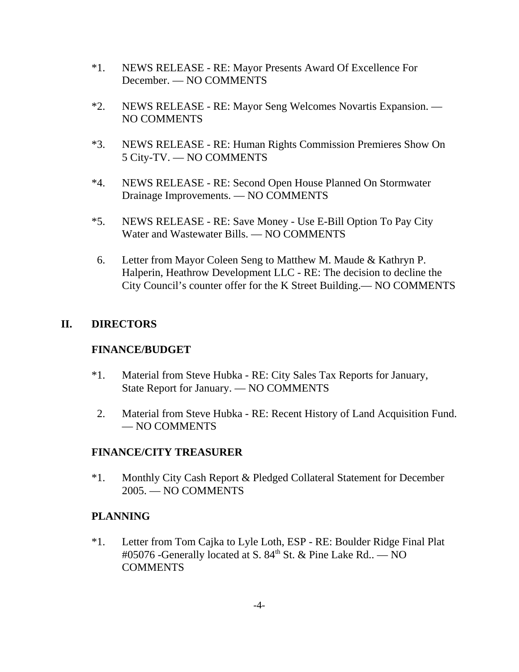- \*1. NEWS RELEASE RE: Mayor Presents Award Of Excellence For December. — NO COMMENTS
- \*2. NEWS RELEASE RE: Mayor Seng Welcomes Novartis Expansion. NO COMMENTS
- \*3. NEWS RELEASE RE: Human Rights Commission Premieres Show On 5 City-TV. — NO COMMENTS
- \*4. NEWS RELEASE RE: Second Open House Planned On Stormwater Drainage Improvements. — NO COMMENTS
- \*5. NEWS RELEASE RE: Save Money Use E-Bill Option To Pay City Water and Wastewater Bills. — NO COMMENTS
- 6. Letter from Mayor Coleen Seng to Matthew M. Maude & Kathryn P. Halperin, Heathrow Development LLC - RE: The decision to decline the City Council's counter offer for the K Street Building.— NO COMMENTS

## **II. DIRECTORS**

### **FINANCE/BUDGET**

- \*1. Material from Steve Hubka RE: City Sales Tax Reports for January, State Report for January. — NO COMMENTS
- 2. Material from Steve Hubka RE: Recent History of Land Acquisition Fund. — NO COMMENTS

### **FINANCE/CITY TREASURER**

\*1. Monthly City Cash Report & Pledged Collateral Statement for December 2005. — NO COMMENTS

### **PLANNING**

\*1. Letter from Tom Cajka to Lyle Loth, ESP - RE: Boulder Ridge Final Plat #05076 -Generally located at S.  $84<sup>th</sup>$  St. & Pine Lake Rd.. — NO COMMENTS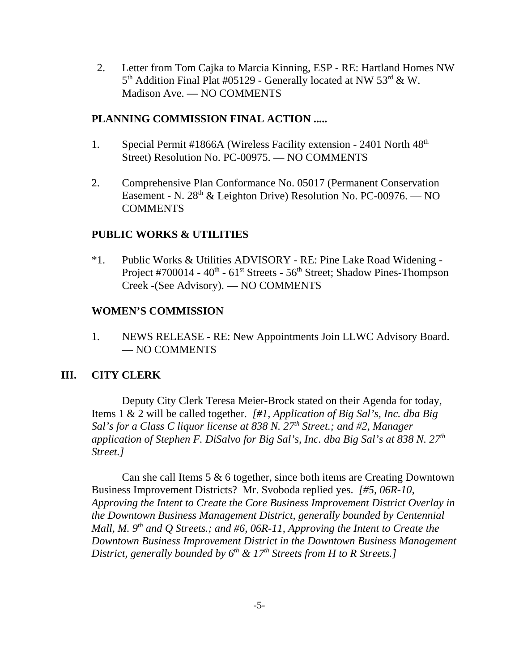2. Letter from Tom Cajka to Marcia Kinning, ESP - RE: Hartland Homes NW  $5<sup>th</sup>$  Addition Final Plat #05129 - Generally located at NW  $53<sup>rd</sup>$  & W. Madison Ave. — NO COMMENTS

### **PLANNING COMMISSION FINAL ACTION .....**

- 1. Special Permit #1866A (Wireless Facility extension 2401 North 48<sup>th</sup> Street) Resolution No. PC-00975. — NO COMMENTS
- 2. Comprehensive Plan Conformance No. 05017 (Permanent Conservation Easement - N.  $28<sup>th</sup>$  & Leighton Drive) Resolution No. PC-00976. — NO COMMENTS

### **PUBLIC WORKS & UTILITIES**

\*1. Public Works & Utilities ADVISORY - RE: Pine Lake Road Widening - Project #700014 -  $40^{\text{th}}$  -  $61^{\text{st}}$  Streets -  $56^{\text{th}}$  Street; Shadow Pines-Thompson Creek -(See Advisory). — NO COMMENTS

### **WOMEN'S COMMISSION**

1. NEWS RELEASE - RE: New Appointments Join LLWC Advisory Board. — NO COMMENTS

### **III. CITY CLERK**

Deputy City Clerk Teresa Meier-Brock stated on their Agenda for today, Items 1 & 2 will be called together. *[#1, Application of Big Sal's, Inc. dba Big Sal's for a Class C liquor license at 838 N. 27<sup>th</sup> Street.; and #2, Manager application of Stephen F. DiSalvo for Big Sal's, Inc. dba Big Sal's at 838 N. 27th Street.]* 

Can she call Items 5 & 6 together, since both items are Creating Downtown Business Improvement Districts? Mr. Svoboda replied yes. *[#5, 06R-10, Approving the Intent to Create the Core Business Improvement District Overlay in the Downtown Business Management District, generally bounded by Centennial Mall, M. 9<sup>th</sup> and Q Streets.; and #6, 06R-11, Approving the Intent to Create the Downtown Business Improvement District in the Downtown Business Management District, generally bounded by 6<sup>th</sup> & 17<sup>th</sup> Streets from H to R Streets.]*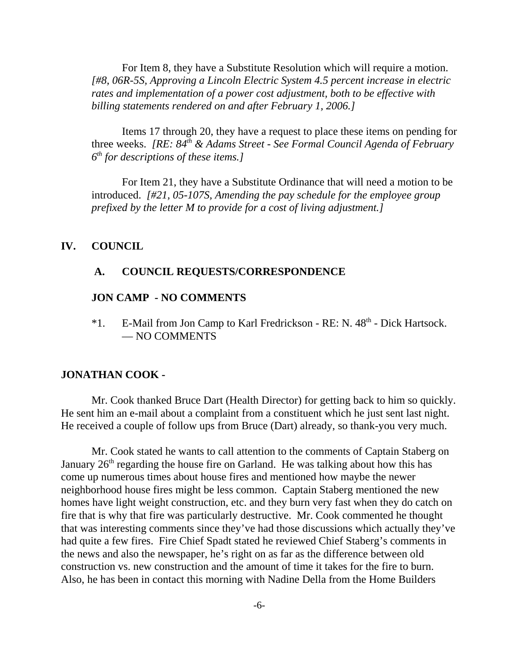For Item 8, they have a Substitute Resolution which will require a motion. *[#8, 06R-5S, Approving a Lincoln Electric System 4.5 percent increase in electric rates and implementation of a power cost adjustment, both to be effective with billing statements rendered on and after February 1, 2006.]* 

Items 17 through 20, they have a request to place these items on pending for three weeks. *[RE: 84th & Adams Street - See Formal Council Agenda of February 6th for descriptions of these items.]* 

For Item 21, they have a Substitute Ordinance that will need a motion to be introduced. *[#21, 05-107S, Amending the pay schedule for the employee group prefixed by the letter M to provide for a cost of living adjustment.]* 

#### **IV. COUNCIL**

#### **A. COUNCIL REQUESTS/CORRESPONDENCE**

#### **JON CAMP - NO COMMENTS**

\*1. E-Mail from Jon Camp to Karl Fredrickson - RE: N. 48th - Dick Hartsock. — NO COMMENTS

#### **JONATHAN COOK -**

Mr. Cook thanked Bruce Dart (Health Director) for getting back to him so quickly. He sent him an e-mail about a complaint from a constituent which he just sent last night. He received a couple of follow ups from Bruce (Dart) already, so thank-you very much.

Mr. Cook stated he wants to call attention to the comments of Captain Staberg on January  $26<sup>th</sup>$  regarding the house fire on Garland. He was talking about how this has come up numerous times about house fires and mentioned how maybe the newer neighborhood house fires might be less common. Captain Staberg mentioned the new homes have light weight construction, etc. and they burn very fast when they do catch on fire that is why that fire was particularly destructive. Mr. Cook commented he thought that was interesting comments since they've had those discussions which actually they've had quite a few fires. Fire Chief Spadt stated he reviewed Chief Staberg's comments in the news and also the newspaper, he's right on as far as the difference between old construction vs. new construction and the amount of time it takes for the fire to burn. Also, he has been in contact this morning with Nadine Della from the Home Builders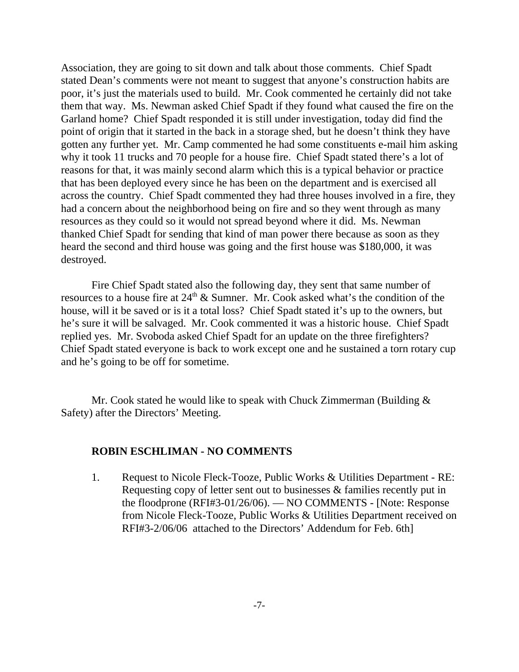Association, they are going to sit down and talk about those comments. Chief Spadt stated Dean's comments were not meant to suggest that anyone's construction habits are poor, it's just the materials used to build. Mr. Cook commented he certainly did not take them that way. Ms. Newman asked Chief Spadt if they found what caused the fire on the Garland home? Chief Spadt responded it is still under investigation, today did find the point of origin that it started in the back in a storage shed, but he doesn't think they have gotten any further yet. Mr. Camp commented he had some constituents e-mail him asking why it took 11 trucks and 70 people for a house fire. Chief Spadt stated there's a lot of reasons for that, it was mainly second alarm which this is a typical behavior or practice that has been deployed every since he has been on the department and is exercised all across the country. Chief Spadt commented they had three houses involved in a fire, they had a concern about the neighborhood being on fire and so they went through as many resources as they could so it would not spread beyond where it did. Ms. Newman thanked Chief Spadt for sending that kind of man power there because as soon as they heard the second and third house was going and the first house was \$180,000, it was destroyed.

Fire Chief Spadt stated also the following day, they sent that same number of resources to a house fire at  $24<sup>th</sup>$  & Sumner. Mr. Cook asked what's the condition of the house, will it be saved or is it a total loss? Chief Spadt stated it's up to the owners, but he's sure it will be salvaged. Mr. Cook commented it was a historic house. Chief Spadt replied yes. Mr. Svoboda asked Chief Spadt for an update on the three firefighters? Chief Spadt stated everyone is back to work except one and he sustained a torn rotary cup and he's going to be off for sometime.

Mr. Cook stated he would like to speak with Chuck Zimmerman (Building & Safety) after the Directors' Meeting.

### **ROBIN ESCHLIMAN - NO COMMENTS**

1. Request to Nicole Fleck-Tooze, Public Works & Utilities Department - RE: Requesting copy of letter sent out to businesses & families recently put in the floodprone (RFI#3-01/26/06). — NO COMMENTS - [Note: Response from Nicole Fleck-Tooze, Public Works & Utilities Department received on RFI#3-2/06/06 attached to the Directors' Addendum for Feb. 6th]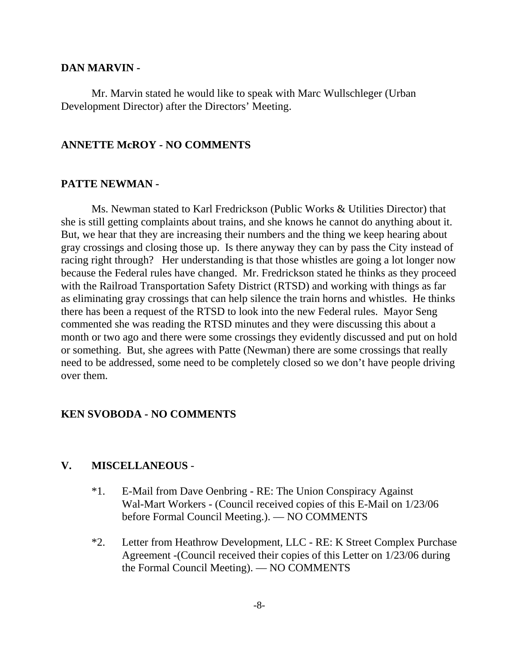#### **DAN MARVIN -**

Mr. Marvin stated he would like to speak with Marc Wullschleger (Urban Development Director) after the Directors' Meeting.

#### **ANNETTE McROY - NO COMMENTS**

### **PATTE NEWMAN -**

Ms. Newman stated to Karl Fredrickson (Public Works & Utilities Director) that she is still getting complaints about trains, and she knows he cannot do anything about it. But, we hear that they are increasing their numbers and the thing we keep hearing about gray crossings and closing those up. Is there anyway they can by pass the City instead of racing right through? Her understanding is that those whistles are going a lot longer now because the Federal rules have changed. Mr. Fredrickson stated he thinks as they proceed with the Railroad Transportation Safety District (RTSD) and working with things as far as eliminating gray crossings that can help silence the train horns and whistles. He thinks there has been a request of the RTSD to look into the new Federal rules. Mayor Seng commented she was reading the RTSD minutes and they were discussing this about a month or two ago and there were some crossings they evidently discussed and put on hold or something. But, she agrees with Patte (Newman) there are some crossings that really need to be addressed, some need to be completely closed so we don't have people driving over them.

#### **KEN SVOBODA - NO COMMENTS**

### **V. MISCELLANEOUS** -

- \*1. E-Mail from Dave Oenbring RE: The Union Conspiracy Against Wal-Mart Workers - (Council received copies of this E-Mail on 1/23/06 before Formal Council Meeting.). — NO COMMENTS
- \*2. Letter from Heathrow Development, LLC RE: K Street Complex Purchase Agreement -(Council received their copies of this Letter on 1/23/06 during the Formal Council Meeting). — NO COMMENTS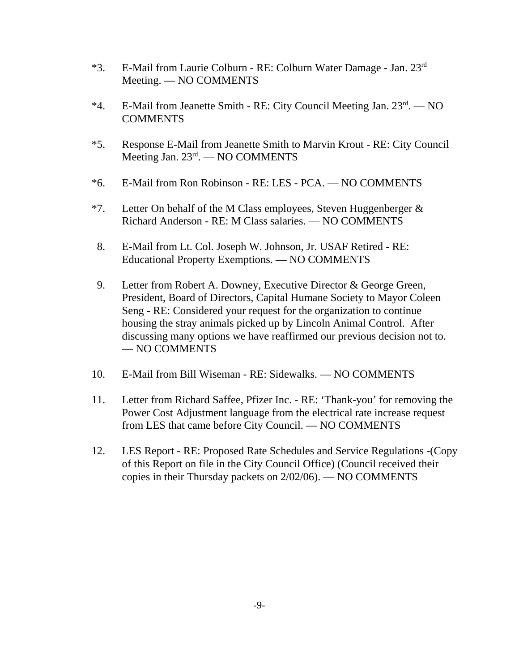- $*3.$  E-Mail from Laurie Colburn RE: Colburn Water Damage Jan.  $23<sup>rd</sup>$ Meeting. — NO COMMENTS
- \*4. E-Mail from Jeanette Smith RE: City Council Meeting Jan. 23rd. NO COMMENTS
- \*5. Response E-Mail from Jeanette Smith to Marvin Krout RE: City Council Meeting Jan.  $23^{\text{rd}}$ . — NO COMMENTS
- \*6. E-Mail from Ron Robinson RE: LES PCA. NO COMMENTS
- \*7. Letter On behalf of the M Class employees, Steven Huggenberger  $\&$ Richard Anderson - RE: M Class salaries. — NO COMMENTS
- 8. E-Mail from Lt. Col. Joseph W. Johnson, Jr. USAF Retired RE: Educational Property Exemptions. — NO COMMENTS
- 9. Letter from Robert A. Downey, Executive Director & George Green, President, Board of Directors, Capital Humane Society to Mayor Coleen Seng - RE: Considered your request for the organization to continue housing the stray animals picked up by Lincoln Animal Control. After discussing many options we have reaffirmed our previous decision not to. — NO COMMENTS
- 10. E-Mail from Bill Wiseman RE: Sidewalks. NO COMMENTS
- 11. Letter from Richard Saffee, Pfizer Inc. RE: 'Thank-you' for removing the Power Cost Adjustment language from the electrical rate increase request from LES that came before City Council. — NO COMMENTS
- 12. LES Report RE: Proposed Rate Schedules and Service Regulations -(Copy of this Report on file in the City Council Office) (Council received their copies in their Thursday packets on 2/02/06). — NO COMMENTS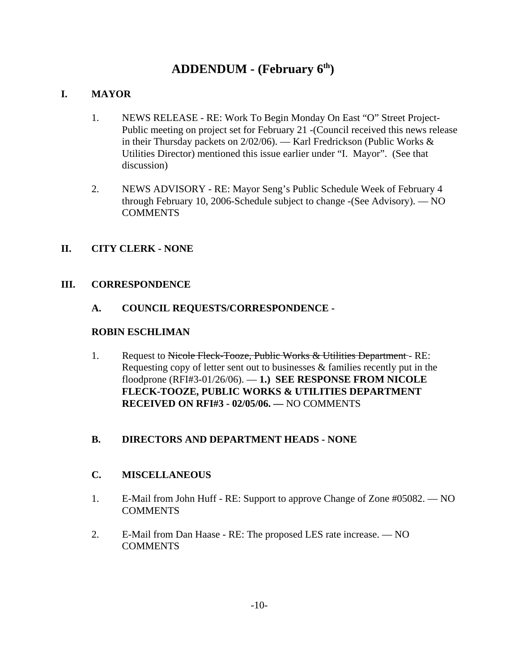# **ADDENDUM - (February 6th)**

### **I. MAYOR**

- 1. NEWS RELEASE RE: Work To Begin Monday On East "O" Street Project-Public meeting on project set for February 21 -(Council received this news release in their Thursday packets on 2/02/06). — Karl Fredrickson (Public Works & Utilities Director) mentioned this issue earlier under "I. Mayor". (See that discussion)
- 2. NEWS ADVISORY RE: Mayor Seng's Public Schedule Week of February 4 through February 10, 2006-Schedule subject to change -(See Advisory). — NO **COMMENTS**

### **II. CITY CLERK - NONE**

#### **III. CORRESPONDENCE**

**A. COUNCIL REQUESTS/CORRESPONDENCE -** 

#### **ROBIN ESCHLIMAN**

1. Request to Nicole Fleck-Tooze, Public Works & Utilities Department-RE: Requesting copy of letter sent out to businesses & families recently put in the floodprone (RFI#3-01/26/06). — **1.) SEE RESPONSE FROM NICOLE FLECK-TOOZE, PUBLIC WORKS & UTILITIES DEPARTMENT RECEIVED ON RFI#3 - 02/05/06. —** NO COMMENTS

### **B. DIRECTORS AND DEPARTMENT HEADS - NONE**

### **C. MISCELLANEOUS**

- 1. E-Mail from John Huff RE: Support to approve Change of Zone #05082. NO **COMMENTS**
- 2. E-Mail from Dan Haase RE: The proposed LES rate increase. NO **COMMENTS**